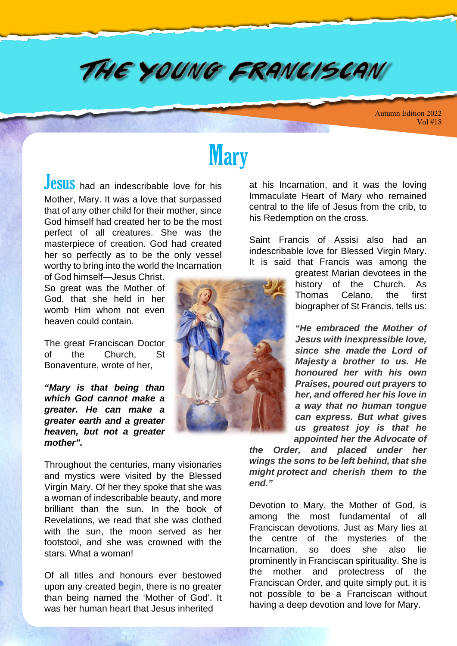## THE YOUNG FRANCISCAN

Autumn Edition 2022 Vol #18

# **Mary**

Jesus had an indescribable love for his Mother, Mary. It was a love that surpassed that of any other child for their mother, since God himself had created her to be the most perfect of all creatures. She was the masterpiece of creation. God had created her so perfectly as to be the only vessel worthy to bring into the world the Incarnation

of God himself—Jesus Christ. So great was the Mother of God, that she held in her womb Him whom not even heaven could contain.

The great Franciscan Doctor of the Church, St Bonaventure, wrote of her,

**"Mary is that being than which God cannot make a greater. He can make a greater earth and a greater heaven, but not a greater mother".**

Throughout the centuries, many visionaries and mystics were visited by the Blessed Virgin Mary. Of her they spoke that she was a woman of indescribable beauty, and more brilliant than the sun. In the book of Revelations, we read that she was clothed with the sun, the moon served as her footstool, and she was crowned with the stars. What a woman!

Of all titles and honours ever bestowed upon any created begin, there is no greater than being named the 'Mother of God'. It was her human heart that Jesus inherited



at his Incarnation, and it was the loving Immaculate Heart of Mary who remained central to the life of Jesus from the crib, to his Redemption on the cross.

Saint Francis of Assisi also had an indescribable love for Blessed Virgin Mary. It is said that Francis was among the

> greatest Marian devotees in the history of the Church. As Thomas Celano, the first biographer of St Francis, tells us:

> **"He embraced the Mother of Jesus with inexpressible love, since she made the Lord of Majesty a brother to us. He honoured her with his own Praises, poured out prayers to her, and offered her his love in a way that no human tongue can express. But what gives us greatest joy is that he appointed her the Advocate of**

**the Order, and placed under her wings the sons to be left behind, that she might protect and cherish them to the end."**

Devotion to Mary, the Mother of God, is among the most fundamental of all Franciscan devotions. Just as Mary lies at the centre of the mysteries of the Incarnation, so does she also lie prominently in Franciscan spirituality. She is the mother and protectress of the Franciscan Order, and quite simply put, it is not possible to be a Franciscan without having a deep devotion and love for Mary.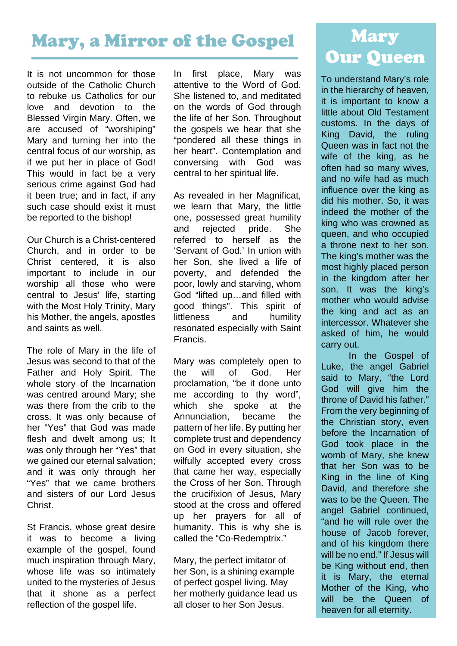## Mary, a Mirror of the Gospel

It is not uncommon for those outside of the Catholic Church to rebuke us Catholics for our love and devotion to the Blessed Virgin Mary. Often, we are accused of "worshiping" Mary and turning her into the central focus of our worship, as if we put her in place of God! This would in fact be a very serious crime against God had it been true; and in fact, if any such case should exist it must be reported to the bishop!

Our Church is a Christ-centered Church, and in order to be Christ centered, it is also important to include in our worship all those who were central to Jesus' life, starting with the Most Holy Trinity, Mary his Mother, the angels, apostles and saints as well.

The role of Mary in the life of Jesus was second to that of the Father and Holy Spirit. The whole story of the Incarnation was centred around Mary; she was there from the crib to the cross. It was only because of her "Yes" that God was made flesh and dwelt among us; It was only through her "Yes" that we gained our eternal salvation; and it was only through her "Yes" that we came brothers and sisters of our Lord Jesus Christ.

St Francis, whose great desire it was to become a living example of the gospel, found much inspiration through Mary, whose life was so intimately united to the mysteries of Jesus that it shone as a perfect reflection of the gospel life.

In first place, Mary was attentive to the Word of God. She listened to, and meditated on the words of God through the life of her Son. Throughout the gospels we hear that she "pondered all these things in her heart". Contemplation and conversing with God was central to her spiritual life.

As revealed in her Magnificat, we learn that Mary, the little one, possessed great humility and rejected pride. She referred to herself as the 'Servant of God.' In union with her Son, she lived a life of poverty, and defended the poor, lowly and starving, whom God "lifted up…and filled with good things". This spirit of littleness and humility resonated especially with Saint Francis.

Mary was completely open to the will of God. Her proclamation, "be it done unto me according to thy word", which she spoke at the Annunciation, became the pattern of her life. By putting her complete trust and dependency on God in every situation, she wilfully accepted every cross that came her way, especially the Cross of her Son. Through the crucifixion of Jesus, Mary stood at the cross and offered up her prayers for all of humanity. This is why she is called the "Co-Redemptrix."

Mary, the perfect imitator of her Son, is a shining example of perfect gospel living. May her motherly guidance lead us all closer to her Son Jesus.

## Mary Our Queen

To understand Mary's role in the hierarchy of heaven, it is important to know a little about Old Testament customs. In the days of King David, the ruling Queen was in fact not the wife of the king, as he often had so many wives, and no wife had as much influence over the king as did his mother. So, it was indeed the mother of the king who was crowned as queen, and who occupied a throne next to her son. The king's mother was the most highly placed person in the kingdom after her son. It was the king's mother who would advise the king and act as an intercessor. Whatever she asked of him, he would carry out.

In the Gospel of Luke, the angel Gabriel said to Mary, "the Lord God will give him the throne of David his father." From the very beginning of the Christian story, even before the Incarnation of God took place in the womb of Mary, she knew that her Son was to be King in the line of King David, and therefore she was to be the Queen. The angel Gabriel continued, "and he will rule over the house of Jacob forever, and of his kingdom there will be no end." If Jesus will be King without end, then it is Mary, the eternal Mother of the King, who will be the Queen of heaven for all eternity.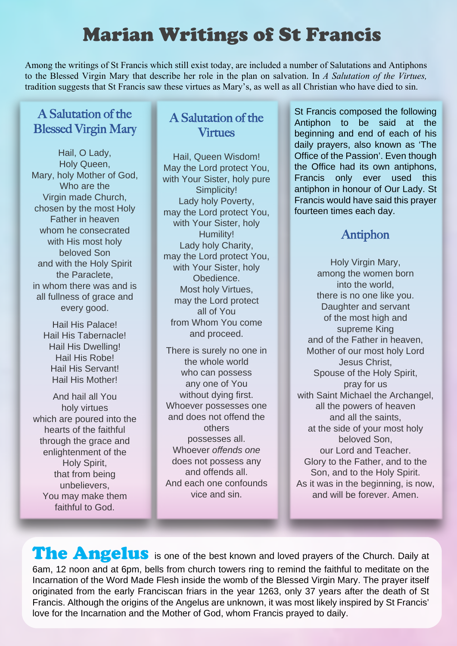## Marian Writings of St Francis

Among the writings of St Francis which still exist today, are included a number of Salutations and Antiphons to the Blessed Virgin Mary that describe her role in the plan on salvation. In *A Salutation of the Virtues,*  tradition suggests that St Francis saw these virtues as Mary's, as well as all Christian who have died to sin.

#### A Salutation of the Blessed Virgin Mary

Hail, O Lady, Holy Queen, Mary, holy Mother of God, Who are the Virgin made Church, chosen by the most Holy Father in heaven whom he consecrated with His most holy beloved Son and with the Holy Spirit the Paraclete, in whom there was and is all fullness of grace and every good.

> Hail His Palace! Hail His Tabernacle! Hail His Dwelling! Hail His Robe! Hail His Servant! Hail His Mother!

And hail all You holy virtues which are poured into the hearts of the faithful through the grace and enlightenment of the Holy Spirit, that from being unbelievers, You may make them faithful to God.

#### A Salutation of the Virtues

Hail, Queen Wisdom! May the Lord protect You, with Your Sister, holy pure Simplicity! Lady holy Poverty, may the Lord protect You, with Your Sister, holy Humility! Lady holy Charity, may the Lord protect You, with Your Sister, holy Obedience. Most holy Virtues, may the Lord protect all of You from Whom You come and proceed.

There is surely no one in the whole world who can possess any one of You without dying first. Whoever possesses one and does not offend the others possesses all. Whoever offends one does not possess any and offends all. And each one confounds vice and sin.

St Francis composed the following Antiphon to be said at the beginning and end of each of his daily prayers, also known as 'The Office of the Passion'. Even though the Office had its own antiphons, Francis only ever used this antiphon in honour of Our Lady. St Francis would have said this prayer fourteen times each day.

#### Antiphon

Holy Virgin Mary, among the women born into the world, there is no one like you. Daughter and servant of the most high and supreme King and of the Father in heaven, Mother of our most holy Lord Jesus Christ, Spouse of the Holy Spirit, pray for us with Saint Michael the Archangel, all the powers of heaven and all the saints, at the side of your most holy beloved Son, our Lord and Teacher. Glory to the Father, and to the Son, and to the Holy Spirit. As it was in the beginning, is now, and will be forever. Amen.

֦

The Angelus is one of the best known and loved prayers of the Church. Daily at 6am, 12 noon and at 6pm, bells from church towers ring to remind the faithful to meditate on the Incarnation of the Word Made Flesh inside the womb of the Blessed Virgin Mary. The prayer itself originated from the early Franciscan friars in the year 1263, only 37 years after the death of St Francis. Although the origins of the Angelus are unknown, it was most likely inspired by St Francis' love for the Incarnation and the Mother of God, whom Francis prayed to daily.